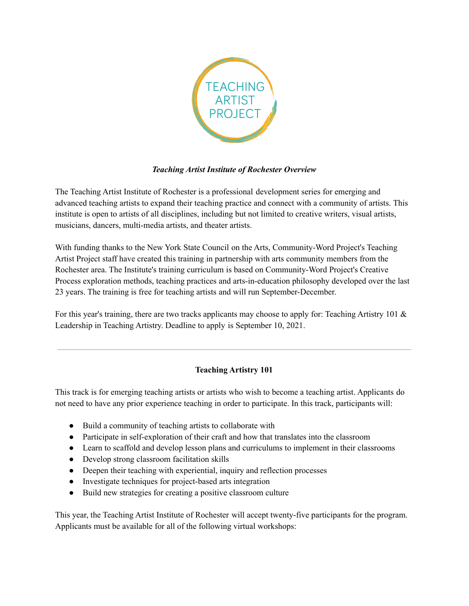

## *Teaching Artist Institute of Rochester Overview*

The Teaching Artist Institute of Rochester is a professional development series for emerging and advanced teaching artists to expand their teaching practice and connect with a community of artists. This institute is open to artists of all disciplines, including but not limited to creative writers, visual artists, musicians, dancers, multi-media artists, and theater artists.

With funding thanks to the New York State Council on the Arts, Community-Word Project's Teaching Artist Project staff have created this training in partnership with arts community members from the Rochester area. The Institute's training curriculum is based on Community-Word Project's Creative Process exploration methods, teaching practices and arts-in-education philosophy developed over the last 23 years. The training is free for teaching artists and will run September-December.

For this year's training, there are two tracks applicants may choose to apply for: Teaching Artistry 101 & Leadership in Teaching Artistry. Deadline to apply is September 10, 2021.

## **Teaching Artistry 101**

This track is for emerging teaching artists or artists who wish to become a teaching artist. Applicants do not need to have any prior experience teaching in order to participate. In this track, participants will:

- Build a community of teaching artists to collaborate with
- Participate in self-exploration of their craft and how that translates into the classroom
- Learn to scaffold and develop lesson plans and curriculums to implement in their classrooms
- Develop strong classroom facilitation skills
- Deepen their teaching with experiential, inquiry and reflection processes
- Investigate techniques for project-based arts integration
- Build new strategies for creating a positive classroom culture

This year, the Teaching Artist Institute of Rochester will accept twenty-five participants for the program. Applicants must be available for all of the following virtual workshops: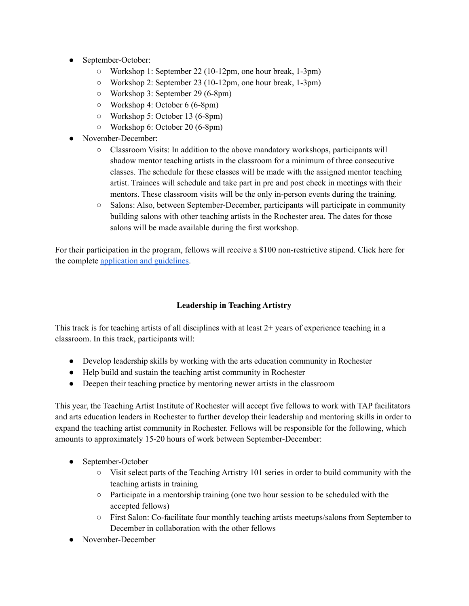- September-October:
	- Workshop 1: September 22 (10-12pm, one hour break, 1-3pm)
	- Workshop 2: September 23 (10-12pm, one hour break, 1-3pm)
	- Workshop 3: September 29 (6-8pm)
	- Workshop 4: October 6 (6-8pm)
	- Workshop 5: October 13 (6-8pm)
	- Workshop 6: October 20 (6-8pm)
- November-December:
	- Classroom Visits: In addition to the above mandatory workshops, participants will shadow mentor teaching artists in the classroom for a minimum of three consecutive classes. The schedule for these classes will be made with the assigned mentor teaching artist. Trainees will schedule and take part in pre and post check in meetings with their mentors. These classroom visits will be the only in-person events during the training.
	- Salons: Also, between September-December, participants will participate in community building salons with other teaching artists in the Rochester area. The dates for those salons will be made available during the first workshop.

For their participation in the program, fellows will receive a \$100 non-restrictive stipend. Click here for the complete [application](https://docs.google.com/forms/d/e/1FAIpQLScrlSlbv3LoAjepOkIbTsSIQFwldpM9suoPrq3sxGAU2HJxSw/viewform?usp=sf_link) and guidelines.

## **Leadership in Teaching Artistry**

This track is for teaching artists of all disciplines with at least 2+ years of experience teaching in a classroom. In this track, participants will:

- Develop leadership skills by working with the arts education community in Rochester
- Help build and sustain the teaching artist community in Rochester
- Deepen their teaching practice by mentoring newer artists in the classroom

This year, the Teaching Artist Institute of Rochester will accept five fellows to work with TAP facilitators and arts education leaders in Rochester to further develop their leadership and mentoring skills in order to expand the teaching artist community in Rochester. Fellows will be responsible for the following, which amounts to approximately 15-20 hours of work between September-December:

- September-October
	- $\circ$  Visit select parts of the Teaching Artistry 101 series in order to build community with the teaching artists in training
	- Participate in a mentorship training (one two hour session to be scheduled with the accepted fellows)
	- First Salon: Co-facilitate four monthly teaching artists meetups/salons from September to December in collaboration with the other fellows
- November-December